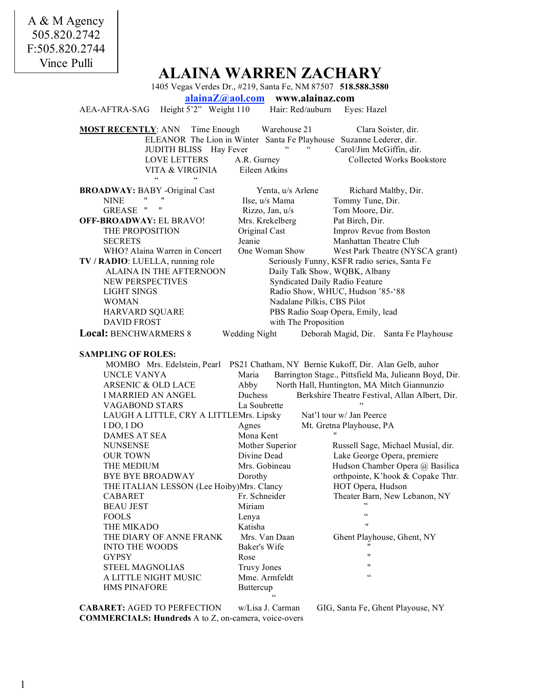## **ALAINA WARREN ZACHARY**

1405 Vegas Verdes Dr., #219, Santa Fe, NM 87507 **518.588.3580**

**alainaZ@aol.com www.alainaz.com**

AEA-AFTRA-SAG Height 5'2" Weight 110 Hair: Red/auburn Eyes: Hazel

**MOST RECENTLY**: ANN Time Enough Warehouse 21 Clara Soister, dir. ELEANOR The Lion in Winter Santa Fe Playhouse Suzanne Lederer, dir. JUDITH BLISS Hay Fever " " Carol/Jim McGiffin, dir. LOVE LETTERS A.R. Gurney Collected Works Bookstore VITA & VIRGINIA Eileen Atkins

 " " **BROADWAY:** BABY -Original Cast Yenta, u/s Arlene Richard Maltby, Dir. NINE " " Ilse, u/s Mama Tommy Tune, Dir. GREASE " " Rizzo, Jan, u/s Tom Moore, Dir. **OFF-BROADWAY:** EL BRAVO! Mrs. Krekelberg Pat Birch, Dir. THE PROPOSITION Original Cast Improv Revue from Boston SECRETS Jeanie Manhattan Theatre Club WHO? Alaina Warren in Concert One Woman Show West Park Theatre (NYSCA grant) TV / RADIO: LUELLA, running role Seriously Funny, KSFR radio series, Santa Fe ALAINA IN THE AFTERNOON Daily Talk Show, WQBK, Albany NEW PERSPECTIVES Syndicated Daily Radio Feature LIGHT SINGS Radio Show, WHUC, Hudson '85-'88 WOMAN Nadalane Pilkis, CBS Pilot HARVARD SQUARE PBS Radio Soap Opera, Emily, lead DAVID FROST with The Proposition Local: BENCHWARMERS 8 Wedding Night Deborah Magid, Dir. Santa Fe Playhouse

## **SAMPLING OF ROLES:**

|                                           |                                | MOMBO Mrs. Edelstein, Pearl PS21 Chatham, NY Bernie Kukoff, Dir. Alan Gelb, auhor |
|-------------------------------------------|--------------------------------|-----------------------------------------------------------------------------------|
| UNCLE VANYA                               | Maria                          | Barrington Stage., Pittsfield Ma, Julieann Boyd, Dir.                             |
| ARSENIC & OLD LACE                        | Abby                           | North Hall, Huntington, MA Mitch Giannunzio                                       |
| I MARRIED AN ANGEL                        | <b>Duchess</b>                 | Berkshire Theatre Festival, Allan Albert, Dir.                                    |
| <b>VAGABOND STARS</b>                     | La Soubrette                   |                                                                                   |
| LAUGH A LITTLE, CRY A LITTLEMrs. Lipsky   |                                | Nat'l tour w/ Jan Peerce                                                          |
| I DO, I DO                                | Agnes                          | Mt. Gretna Playhouse, PA                                                          |
| DAMES AT SEA                              | Mona Kent                      |                                                                                   |
| <b>NUNSENSE</b>                           | Mother Superior                | Russell Sage, Michael Musial, dir.                                                |
| <b>OUR TOWN</b>                           | Divine Dead                    | Lake George Opera, premiere                                                       |
| THE MEDIUM                                | Mrs. Gobineau                  | Hudson Chamber Opera @ Basilica                                                   |
| <b>BYE BYE BROADWAY</b>                   | Dorothy                        | orthpointe, K'hook & Copake Thtr.                                                 |
| THE ITALIAN LESSON (Lee Hoiby)Mrs. Clancy |                                | HOT Opera, Hudson                                                                 |
| <b>CABARET</b>                            | Fr. Schneider                  | Theater Barn, New Lebanon, NY                                                     |
| <b>BEAU JEST</b>                          | Miriam                         |                                                                                   |
| <b>FOOLS</b>                              | Lenya                          | $\epsilon$                                                                        |
| THE MIKADO                                | Katisha                        | 11                                                                                |
| THE DIARY OF ANNE FRANK                   | Mrs. Van Daan                  | Ghent Playhouse, Ghent, NY                                                        |
| <b>INTO THE WOODS</b>                     | Baker's Wife                   |                                                                                   |
| <b>GYPSY</b>                              | Rose                           | $^{\prime\prime}$                                                                 |
| <b>STEEL MAGNOLIAS</b>                    | Truvy Jones                    | $^{\prime\prime}$                                                                 |
| A LITTLE NIGHT MUSIC                      | Mme. Armfeldt                  | $\epsilon$                                                                        |
| <b>HMS PINAFORE</b>                       | <b>Buttercup</b><br>$\epsilon$ |                                                                                   |
|                                           |                                |                                                                                   |

**CABARET:** AGED TO PERFECTION w/Lisa J. Carman GIG, Santa Fe, Ghent Playouse, NY **COMMERCIALS: Hundreds** A to Z, on-camera, voice-overs

1